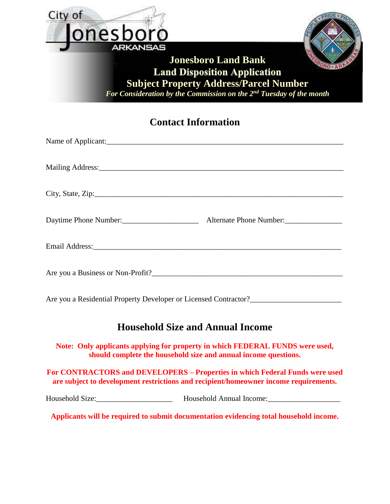

### **Contact Information**

| Name of Applicant:                                               |
|------------------------------------------------------------------|
|                                                                  |
|                                                                  |
|                                                                  |
|                                                                  |
| Daytime Phone Number:<br>Alternate Phone Number:                 |
|                                                                  |
|                                                                  |
|                                                                  |
|                                                                  |
| Are you a Residential Property Developer or Licensed Contractor? |
|                                                                  |

## **Household Size and Annual Income**

**Note: Only applicants applying for property in which FEDERAL FUNDS were used, should complete the household size and annual income questions.**

**For CONTRACTORS and DEVELOPERS – Properties in which Federal Funds were used are subject to development restrictions and recipient/homeowner income requirements.**

Household Size:\_\_\_\_\_\_\_\_\_\_\_\_\_\_\_\_\_\_\_\_ Household Annual Income:\_\_\_\_\_\_\_\_\_\_\_\_\_\_\_\_\_\_\_

**Applicants will be required to submit documentation evidencing total household income.**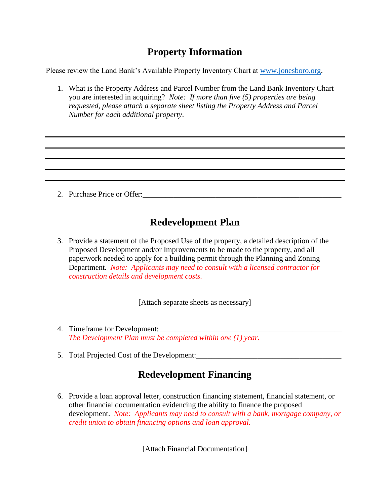## **Property Information**

Please review the Land Bank's Available Property Inventory Chart at [www.jonesboro.org.](http://www.jonesboro.org/)

1. What is the Property Address and Parcel Number from the Land Bank Inventory Chart you are interested in acquiring? *Note: If more than five (5) properties are being requested, please attach a separate sheet listing the Property Address and Parcel Number for each additional property*.

2. Purchase Price or Offer:

## **Redevelopment Plan**

3. Provide a statement of the Proposed Use of the property, a detailed description of the Proposed Development and/or Improvements to be made to the property, and all paperwork needed to apply for a building permit through the Planning and Zoning Department. *Note: Applicants may need to consult with a licensed contractor for construction details and development costs.*

[Attach separate sheets as necessary]

- 4. Timeframe for Development: *The Development Plan must be completed within one (1) year.*
- 5. Total Projected Cost of the Development:

## **Redevelopment Financing**

6. Provide a loan approval letter, construction financing statement, financial statement, or other financial documentation evidencing the ability to finance the proposed development. *Note: Applicants may need to consult with a bank, mortgage company, or credit union to obtain financing options and loan approval.*

[Attach Financial Documentation]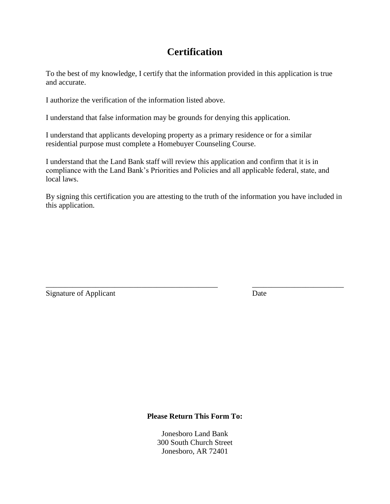## **Certification**

To the best of my knowledge, I certify that the information provided in this application is true and accurate.

I authorize the verification of the information listed above.

I understand that false information may be grounds for denying this application.

I understand that applicants developing property as a primary residence or for a similar residential purpose must complete a Homebuyer Counseling Course.

I understand that the Land Bank staff will review this application and confirm that it is in compliance with the Land Bank's Priorities and Policies and all applicable federal, state, and local laws.

By signing this certification you are attesting to the truth of the information you have included in this application.

\_\_\_\_\_\_\_\_\_\_\_\_\_\_\_\_\_\_\_\_\_\_\_\_\_\_\_\_\_\_\_\_\_\_\_\_\_\_\_\_\_\_\_\_\_ \_\_\_\_\_\_\_\_\_\_\_\_\_\_\_\_\_\_\_\_\_\_\_\_

Signature of Applicant Date

#### **Please Return This Form To:**

Jonesboro Land Bank 300 South Church Street Jonesboro, AR 72401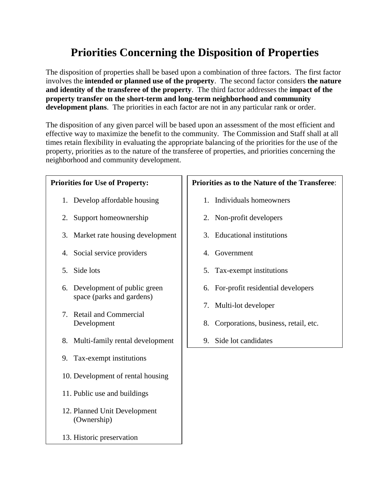# **Priorities Concerning the Disposition of Properties**

The disposition of properties shall be based upon a combination of three factors. The first factor involves the **intended or planned use of the property**. The second factor considers **the nature and identity of the transferee of the property**. The third factor addresses the **impact of the property transfer on the short-term and long-term neighborhood and community development plans**. The priorities in each factor are not in any particular rank or order.

The disposition of any given parcel will be based upon an assessment of the most efficient and effective way to maximize the benefit to the community. The Commission and Staff shall at all times retain flexibility in evaluating the appropriate balancing of the priorities for the use of the property, priorities as to the nature of the transferee of properties, and priorities concerning the neighborhood and community development.

#### **Priorities for Use of Property:**

- 1. Develop affordable housing
- 2. Support homeownership
- 3. Market rate housing development
- 4. Social service providers
- 5. Side lots
- 6. Development of public green space (parks and gardens)
- 7. Retail and Commercial Development
- 8. Multi-family rental development
- 9. Tax-exempt institutions
- 10. Development of rental housing
- 11. Public use and buildings
- 12. Planned Unit Development (Ownership)
- 13. Historic preservation

#### **Priorities as to the Nature of the Transferee**:

- 1. Individuals homeowners
- 2. Non-profit developers
- 3. Educational institutions
- 4. Government
- 5. Tax-exempt institutions
- 6. For-profit residential developers
- 7. Multi-lot developer
- 8. Corporations, business, retail, etc.
- 9. Side lot candidates